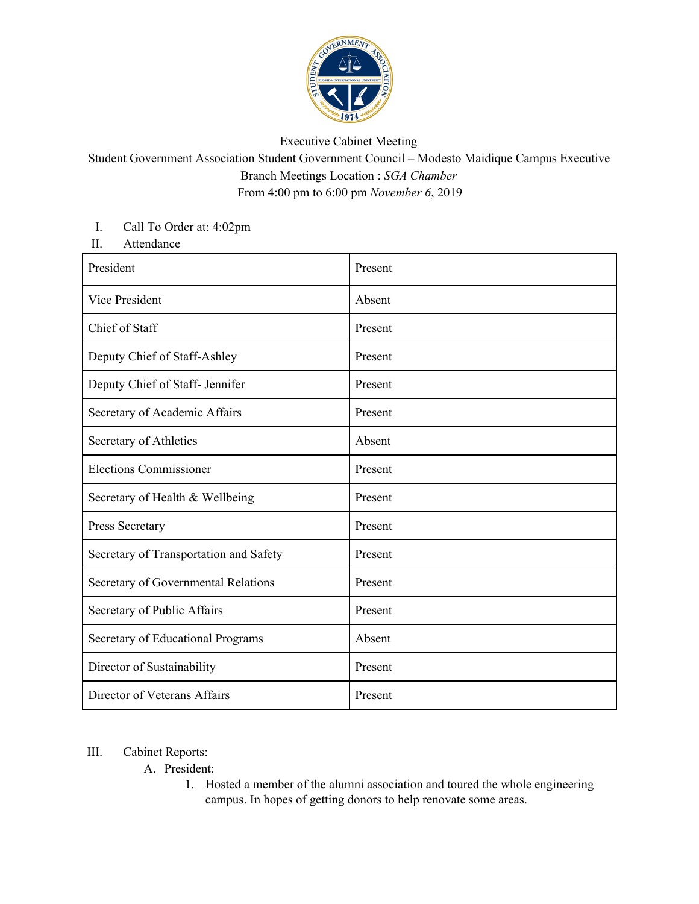

## Executive Cabinet Meeting

## Student Government Association Student Government Council – Modesto Maidique Campus Executive Branch Meetings Location : *SGA Chamber* From 4:00 pm to 6:00 pm *November 6*, 2019

## I. Call To Order at: 4:02pm

II. Attendance

| President                              | Present |
|----------------------------------------|---------|
| Vice President                         | Absent  |
| Chief of Staff                         | Present |
| Deputy Chief of Staff-Ashley           | Present |
| Deputy Chief of Staff- Jennifer        | Present |
| Secretary of Academic Affairs          | Present |
| Secretary of Athletics                 | Absent  |
| <b>Elections Commissioner</b>          | Present |
| Secretary of Health & Wellbeing        | Present |
| Press Secretary                        | Present |
| Secretary of Transportation and Safety | Present |
| Secretary of Governmental Relations    | Present |
| Secretary of Public Affairs            | Present |
| Secretary of Educational Programs      | Absent  |
| Director of Sustainability             | Present |
| Director of Veterans Affairs           | Present |

## III. Cabinet Reports:

A. President:

1. Hosted a member of the alumni association and toured the whole engineering campus. In hopes of getting donors to help renovate some areas.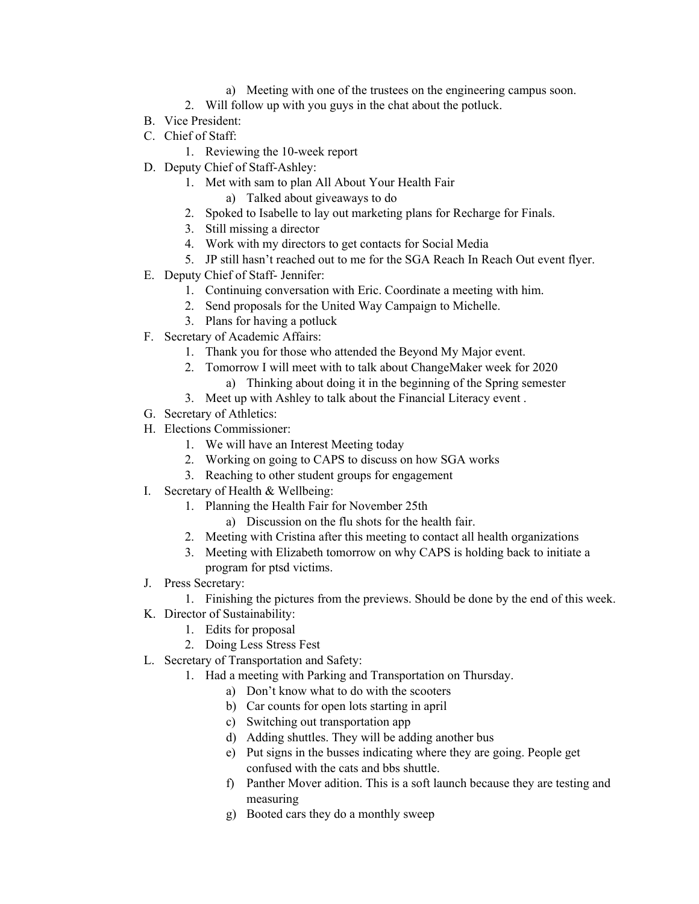- a) Meeting with one of the trustees on the engineering campus soon.
- 2. Will follow up with you guys in the chat about the potluck.
- B. Vice President:
- C. Chief of Staff:
	- 1. Reviewing the 10-week report
- D. Deputy Chief of Staff-Ashley:
	- 1. Met with sam to plan All About Your Health Fair
		- a) Talked about giveaways to do
		- 2. Spoked to Isabelle to lay out marketing plans for Recharge for Finals.
	- 3. Still missing a director
	- 4. Work with my directors to get contacts for Social Media
	- 5. JP still hasn't reached out to me for the SGA Reach In Reach Out event flyer.
- E. Deputy Chief of Staff- Jennifer:
	- 1. Continuing conversation with Eric. Coordinate a meeting with him.
	- 2. Send proposals for the United Way Campaign to Michelle.
	- 3. Plans for having a potluck
- F. Secretary of Academic Affairs:
	- 1. Thank you for those who attended the Beyond My Major event.
	- 2. Tomorrow I will meet with to talk about ChangeMaker week for 2020
		- a) Thinking about doing it in the beginning of the Spring semester
	- 3. Meet up with Ashley to talk about the Financial Literacy event .
- G. Secretary of Athletics:
- H. Elections Commissioner:
	- 1. We will have an Interest Meeting today
	- 2. Working on going to CAPS to discuss on how SGA works
	- 3. Reaching to other student groups for engagement
- I. Secretary of Health & Wellbeing:
	- 1. Planning the Health Fair for November 25th
		- a) Discussion on the flu shots for the health fair.
	- 2. Meeting with Cristina after this meeting to contact all health organizations
	- 3. Meeting with Elizabeth tomorrow on why CAPS is holding back to initiate a program for ptsd victims.
- J. Press Secretary:
	- 1. Finishing the pictures from the previews. Should be done by the end of this week.
- K. Director of Sustainability:
	- 1. Edits for proposal
	- 2. Doing Less Stress Fest
- L. Secretary of Transportation and Safety:
	- 1. Had a meeting with Parking and Transportation on Thursday.
		- a) Don't know what to do with the scooters
		- b) Car counts for open lots starting in april
		- c) Switching out transportation app
		- d) Adding shuttles. They will be adding another bus
		- e) Put signs in the busses indicating where they are going. People get confused with the cats and bbs shuttle.
		- f) Panther Mover adition. This is a soft launch because they are testing and measuring
		- g) Booted cars they do a monthly sweep